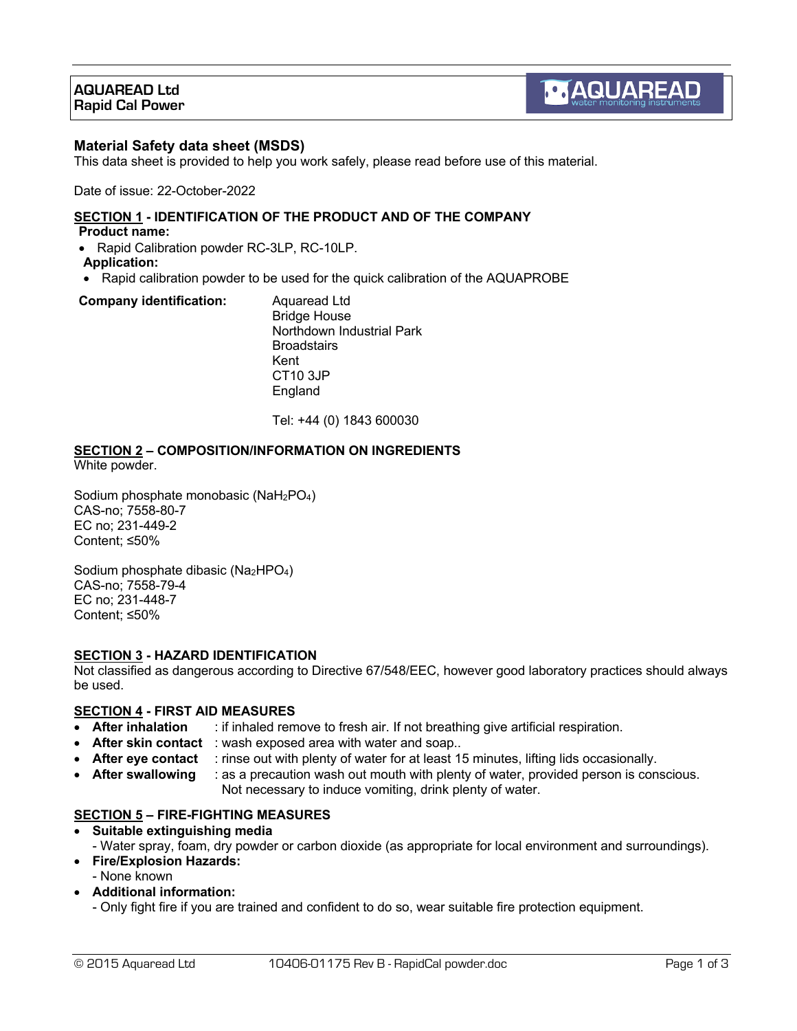## **AQUAREAD Ltd Rapid Cal Power**

### **Material Safety data sheet (MSDS)**

This data sheet is provided to help you work safely, please read before use of this material.

Date of issue: 22-October-2022

#### **SECTION 1 - IDENTIFICATION OF THE PRODUCT AND OF THE COMPANY Product name:**

• Rapid Calibration powder RC-3LP, RC-10LP.

### **Application:**

• Rapid calibration powder to be used for the quick calibration of the AQUAPROBE

#### **Company identification:** Aquaread Ltd

Bridge House Northdown Industrial Park **Broadstairs** Kent CT10 3JP England

Tel: +44 (0) 1843 600030

# **SECTION 2 – COMPOSITION/INFORMATION ON INGREDIENTS**

White powder.

Sodium phosphate monobasic (NaH2PO4) CAS-no; 7558-80-7 EC no; 231-449-2 Content; ≤50%

Sodium phosphate dibasic ( $Na<sub>2</sub>HPO<sub>4</sub>$ ) CAS-no; 7558-79-4 EC no; 231-448-7 Content; ≤50%

### **SECTION 3 - HAZARD IDENTIFICATION**

Not classified as dangerous according to Directive 67/548/EEC, however good laboratory practices should always be used.

### **SECTION 4 - FIRST AID MEASURES**

- **After inhalation** : if inhaled remove to fresh air. If not breathing give artificial respiration.
- **After skin contact** : wash exposed area with water and soap..
- **After eye contact** : rinse out with plenty of water for at least 15 minutes, lifting lids occasionally.
- **After swallowing** : as a precaution wash out mouth with plenty of water, provided person is conscious. Not necessary to induce vomiting, drink plenty of water.

### **SECTION 5 – FIRE-FIGHTING MEASURES**

- **Suitable extinguishing media**  - Water spray, foam, dry powder or carbon dioxide (as appropriate for local environment and surroundings). • **Fire/Explosion Hazards:**
- None known
- **Additional information:**
	- Only fight fire if you are trained and confident to do so, wear suitable fire protection equipment.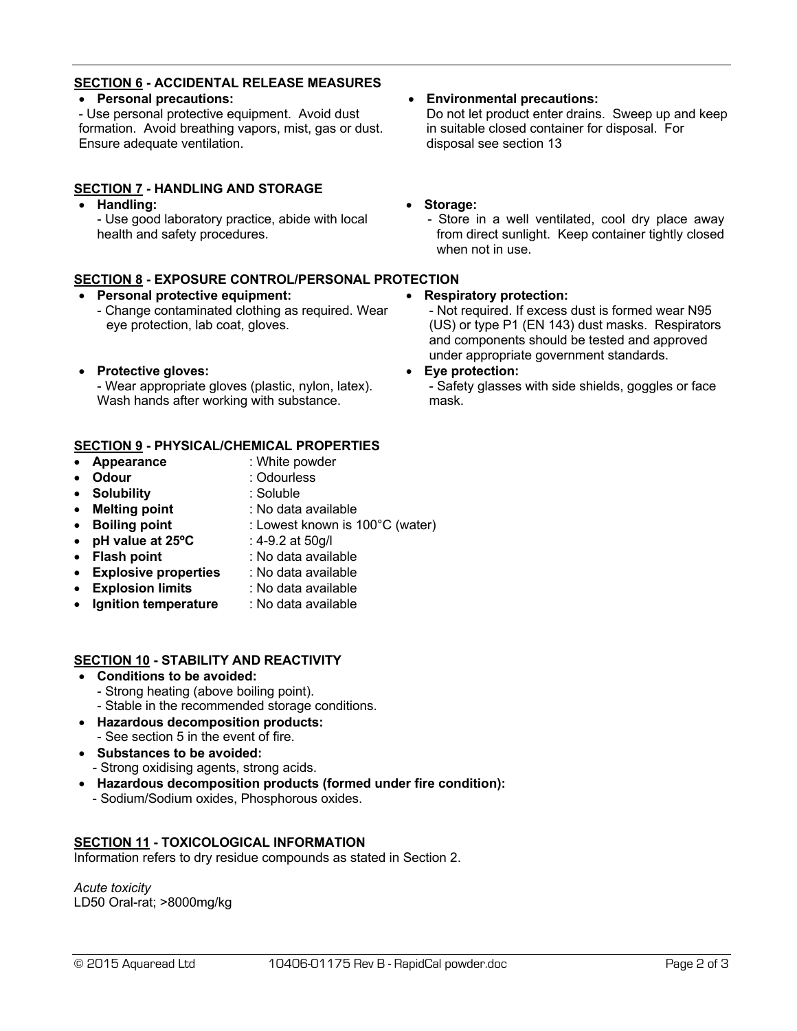## **SECTION 6 - ACCIDENTAL RELEASE MEASURES**

## • **Personal precautions:**

- Use personal protective equipment. Avoid dust formation. Avoid breathing vapors, mist, gas or dust. Ensure adequate ventilation.

## **SECTION 7 - HANDLING AND STORAGE**

• **Handling:**

- Use good laboratory practice, abide with local health and safety procedures.

## **SECTION 8 - EXPOSURE CONTROL/PERSONAL PROTECTION**

- **Personal protective equipment:**
	- Change contaminated clothing as required. Wear eye protection, lab coat, gloves.
- **Protective gloves:**

- Wear appropriate gloves (plastic, nylon, latex). Wash hands after working with substance.

## **SECTION 9 - PHYSICAL/CHEMICAL PROPERTIES**

- **Appearance** : White powder
- **Odour** : Odourless
- 
- **Solubility** : Soluble
- 
- **Melting point** : No data available
- **Boiling point** : Lowest known is 100°C (water)
- **pH value at 25°C** : 4-9.2 at 50g/l
- **Flash point** : No data available
- **Explosive properties** : No data available
- **Explosion limits** : No data available
- **Ignition temperature** : No data available

## **SECTION 10 - STABILITY AND REACTIVITY**

- **Conditions to be avoided:**
	- Strong heating (above boiling point).
	- Stable in the recommended storage conditions.
- **Hazardous decomposition products:**
	- See section 5 in the event of fire.
- **Substances to be avoided:** - Strong oxidising agents, strong acids.
- **Hazardous decomposition products (formed under fire condition):**
- Sodium/Sodium oxides, Phosphorous oxides.

## **SECTION 11 - TOXICOLOGICAL INFORMATION**

Information refers to dry residue compounds as stated in Section 2.

*Acute toxicity* LD50 Oral-rat; >8000mg/kg Do not let product enter drains. Sweep up and keep in suitable closed container for disposal. For disposal see section 13

### • **Storage:**

- Store in a well ventilated, cool dry place away from direct sunlight. Keep container tightly closed when not in use.

### • **Respiratory protection:**

- Not required. If excess dust is formed wear N95 (US) or type P1 (EN 143) dust masks. Respirators and components should be tested and approved under appropriate government standards.

### • **Eye protection:**

- Safety glasses with side shields, goggles or face mask.